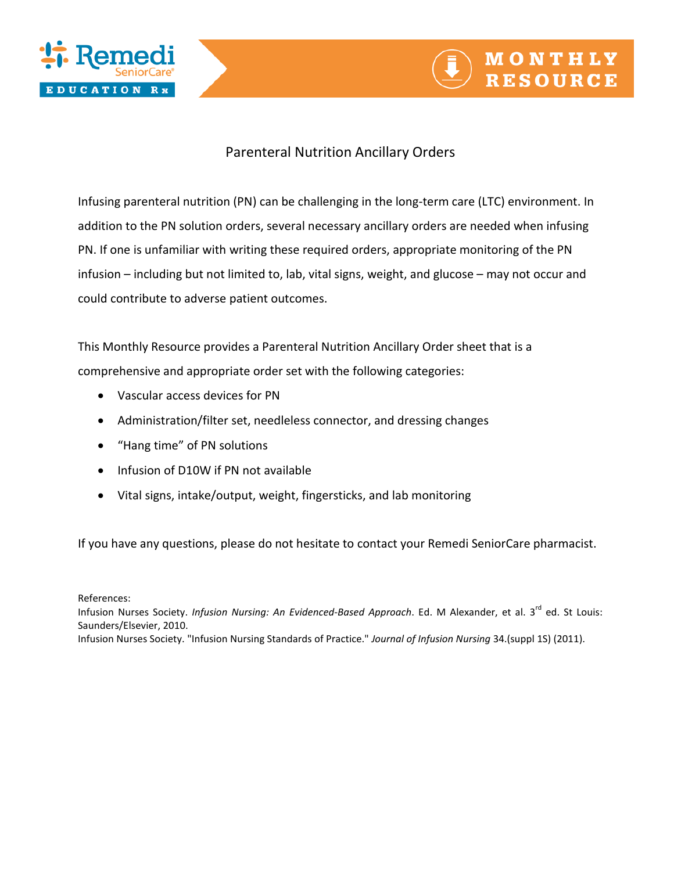



## Parenteral Nutrition Ancillary Orders

Infusing parenteral nutrition (PN) can be challenging in the long-term care (LTC) environment. In addition to the PN solution orders, several necessary ancillary orders are needed when infusing PN. If one is unfamiliar with writing these required orders, appropriate monitoring of the PN infusion – including but not limited to, lab, vital signs, weight, and glucose – may not occur and could contribute to adverse patient outcomes.

This Monthly Resource provides a Parenteral Nutrition Ancillary Order sheet that is a comprehensive and appropriate order set with the following categories:

- Vascular access devices for PN
- Administration/filter set, needleless connector, and dressing changes
- "Hang time" of PN solutions
- Infusion of D10W if PN not available
- Vital signs, intake/output, weight, fingersticks, and lab monitoring

If you have any questions, please do not hesitate to contact your Remedi SeniorCare pharmacist.

References:

Infusion Nurses Society. *Infusion Nursing: An Evidenced-Based Approach*. Ed. M Alexander, et al. 3<sup>rd</sup> ed. St Louis: Saunders/Elsevier, 2010.

Infusion Nurses Society. "Infusion Nursing Standards of Practice." *Journal of Infusion Nursing* 34.(suppl 1S) (2011).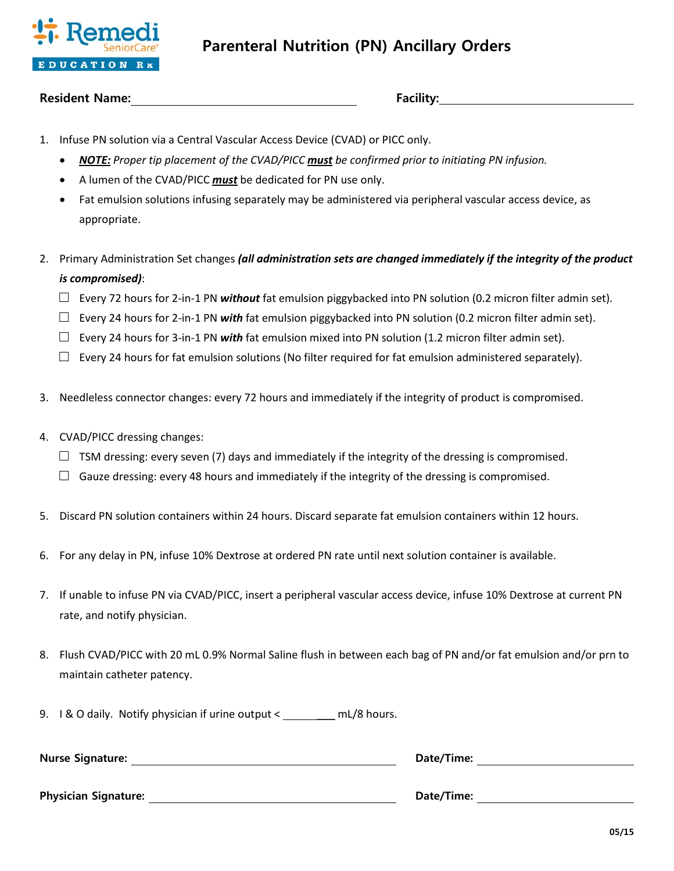

## **Resident Name: Facility:**

- 1. Infuse PN solution via a Central Vascular Access Device (CVAD) or PICC only.
	- *NOTE: Proper tip placement of the CVAD/PICC must be confirmed prior to initiating PN infusion.*
	- A lumen of the CVAD/PICC *must* be dedicated for PN use only.
	- Fat emulsion solutions infusing separately may be administered via peripheral vascular access device, as appropriate.
- 2. Primary Administration Set changes *(all administration sets are changed immediately if the integrity of the product is compromised)*:
	- $\square$  Every 72 hours for 2-in-1 PN *without* fat emulsion piggybacked into PN solution (0.2 micron filter admin set).
	- $\Box$  Every 24 hours for 2-in-1 PN *with* fat emulsion piggybacked into PN solution (0.2 micron filter admin set).
	- $\square$  Every 24 hours for 3-in-1 PN with fat emulsion mixed into PN solution (1.2 micron filter admin set).
	- $\Box$  Every 24 hours for fat emulsion solutions (No filter required for fat emulsion administered separately).
- 3. Needleless connector changes: every 72 hours and immediately if the integrity of product is compromised.
- 4. CVAD/PICC dressing changes:
	- $\Box$  TSM dressing: every seven (7) days and immediately if the integrity of the dressing is compromised.
	- $\Box$  Gauze dressing: every 48 hours and immediately if the integrity of the dressing is compromised.
- 5. Discard PN solution containers within 24 hours. Discard separate fat emulsion containers within 12 hours.
- 6. For any delay in PN, infuse 10% Dextrose at ordered PN rate until next solution container is available.
- 7. If unable to infuse PN via CVAD/PICC, insert a peripheral vascular access device, infuse 10% Dextrose at current PN rate, and notify physician.
- 8. Flush CVAD/PICC with 20 mL 0.9% Normal Saline flush in between each bag of PN and/or fat emulsion and/or prn to maintain catheter patency.
- 9. I & O daily. Notify physician if urine output < mL/8 hours.

| <b>Nurse Signature:</b>     | Date/Time: |  |
|-----------------------------|------------|--|
|                             |            |  |
| <b>Physician Signature:</b> | Date/Time: |  |